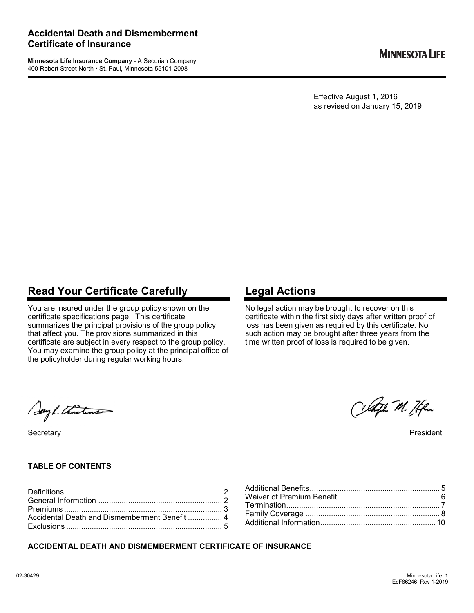**Minnesota Life Insurance Company** - A Securian Company 400 Robert Street North • St. Paul, Minnesota 55101-2098

Effective August 1, 2016 as revised on January 15, 2019

## **Read Your Certificate Carefully**

You are insured under the group policy shown on the certificate specifications page. This certificate summarizes the principal provisions of the group policy that affect you. The provisions summarized in this certificate are subject in every respect to the group policy. You may examine the group policy at the principal office of the policyholder during regular working hours.

## **Legal Actions**

No legal action may be brought to recover on this certificate within the first sixty days after written proof of loss has been given as required by this certificate. No such action may be brought after three years from the time written proof of loss is required to be given.

Say 1. Thisting

## **TABLE OF CONTENTS**

## **ACCIDENTAL DEATH AND DISMEMBERMENT CERTIFICATE OF INSURANCE**

Celazh M. Hen

Secretary President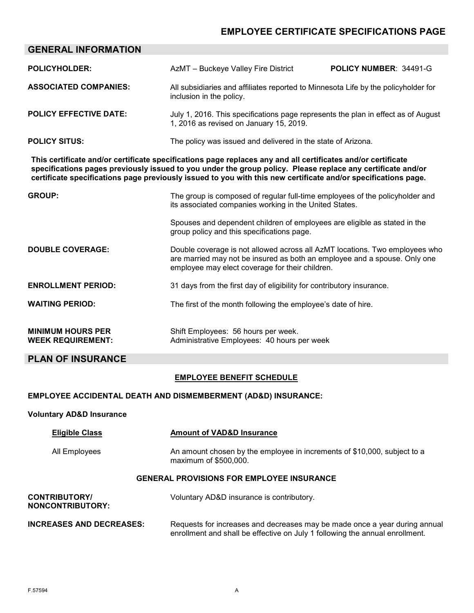## **EMPLOYEE CERTIFICATE SPECIFICATIONS PAGE**

| <b>GENERAL INFORMATION</b>                                                                                                                                                                                                                                                                                                                    |                                                                                                                                                                                                             |                        |
|-----------------------------------------------------------------------------------------------------------------------------------------------------------------------------------------------------------------------------------------------------------------------------------------------------------------------------------------------|-------------------------------------------------------------------------------------------------------------------------------------------------------------------------------------------------------------|------------------------|
| <b>POLICYHOLDER:</b>                                                                                                                                                                                                                                                                                                                          | AzMT - Buckeye Valley Fire District                                                                                                                                                                         | POLICY NUMBER: 34491-G |
| <b>ASSOCIATED COMPANIES:</b>                                                                                                                                                                                                                                                                                                                  | All subsidiaries and affiliates reported to Minnesota Life by the policyholder for<br>inclusion in the policy.                                                                                              |                        |
| <b>POLICY EFFECTIVE DATE:</b>                                                                                                                                                                                                                                                                                                                 | July 1, 2016. This specifications page represents the plan in effect as of August<br>1, 2016 as revised on January 15, 2019.                                                                                |                        |
| <b>POLICY SITUS:</b>                                                                                                                                                                                                                                                                                                                          | The policy was issued and delivered in the state of Arizona.                                                                                                                                                |                        |
| This certificate and/or certificate specifications page replaces any and all certificates and/or certificate<br>specifications pages previously issued to you under the group policy. Please replace any certificate and/or<br>certificate specifications page previously issued to you with this new certificate and/or specifications page. |                                                                                                                                                                                                             |                        |
| <b>GROUP:</b>                                                                                                                                                                                                                                                                                                                                 | The group is composed of regular full-time employees of the policyholder and<br>its associated companies working in the United States.                                                                      |                        |
|                                                                                                                                                                                                                                                                                                                                               | Spouses and dependent children of employees are eligible as stated in the<br>group policy and this specifications page.                                                                                     |                        |
| <b>DOUBLE COVERAGE:</b>                                                                                                                                                                                                                                                                                                                       | Double coverage is not allowed across all AzMT locations. Two employees who<br>are married may not be insured as both an employee and a spouse. Only one<br>employee may elect coverage for their children. |                        |
| <b>ENROLLMENT PERIOD:</b>                                                                                                                                                                                                                                                                                                                     | 31 days from the first day of eligibility for contributory insurance.                                                                                                                                       |                        |
| <b>WAITING PERIOD:</b>                                                                                                                                                                                                                                                                                                                        | The first of the month following the employee's date of hire.                                                                                                                                               |                        |
| <b>MINIMUM HOURS PER</b><br><b>WEEK REQUIREMENT:</b>                                                                                                                                                                                                                                                                                          | Shift Employees: 56 hours per week.<br>Administrative Employees: 40 hours per week                                                                                                                          |                        |
| <b>PLAN OF INSURANCE</b>                                                                                                                                                                                                                                                                                                                      |                                                                                                                                                                                                             |                        |
|                                                                                                                                                                                                                                                                                                                                               | <b>EMPLOYEE BENEFIT SCHEDULE</b>                                                                                                                                                                            |                        |
| <b>EMPLOYEE ACCIDENTAL DEATH AND DISMEMBERMENT (AD&amp;D) INSURANCE:</b>                                                                                                                                                                                                                                                                      |                                                                                                                                                                                                             |                        |
| <b>Voluntary AD&amp;D Insurance</b>                                                                                                                                                                                                                                                                                                           |                                                                                                                                                                                                             |                        |

| <b>Eligible Class</b>                            | <b>Amount of VAD&amp;D Insurance</b>                                                              |  |
|--------------------------------------------------|---------------------------------------------------------------------------------------------------|--|
| All Employees                                    | An amount chosen by the employee in increments of \$10,000, subject to a<br>maximum of \$500,000. |  |
| <b>GENERAL PROVISIONS FOR EMPLOYEE INSURANCE</b> |                                                                                                   |  |
| <b>CONTRIBUTORY/</b><br>NONCONTRIBUTORY:         | Voluntary AD&D insurance is contributory.                                                         |  |
| <b>INCREASES AND DECREASES:</b>                  | Requests for increases and decreases may be made once a year during annual                        |  |

enrollment and shall be effective on July 1 following the annual enrollment.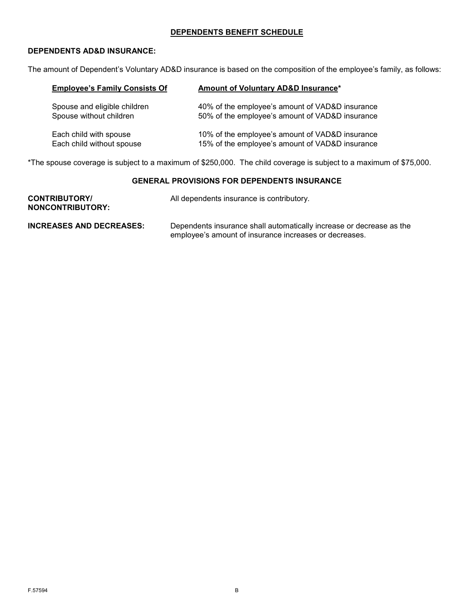## **DEPENDENTS BENEFIT SCHEDULE**

## **DEPENDENTS AD&D INSURANCE:**

The amount of Dependent's Voluntary AD&D insurance is based on the composition of the employee's family, as follows:

| <b>Employee's Family Consists Of</b> | Amount of Voluntary AD&D Insurance*             |
|--------------------------------------|-------------------------------------------------|
| Spouse and eligible children         | 40% of the employee's amount of VAD&D insurance |
| Spouse without children              | 50% of the employee's amount of VAD&D insurance |
| Each child with spouse               | 10% of the employee's amount of VAD&D insurance |
| Each child without spouse            | 15% of the employee's amount of VAD&D insurance |

\*The spouse coverage is subject to a maximum of \$250,000. The child coverage is subject to a maximum of \$75,000.

## **GENERAL PROVISIONS FOR DEPENDENTS INSURANCE**

| <b>CONTRIBUTORY/</b><br><b>NONCONTRIBUTORY:</b> | All dependents insurance is contributory.                                                                                      |
|-------------------------------------------------|--------------------------------------------------------------------------------------------------------------------------------|
| <b>INCREASES AND DECREASES:</b>                 | Dependents insurance shall automatically increase or decrease as the<br>employee's amount of insurance increases or decreases. |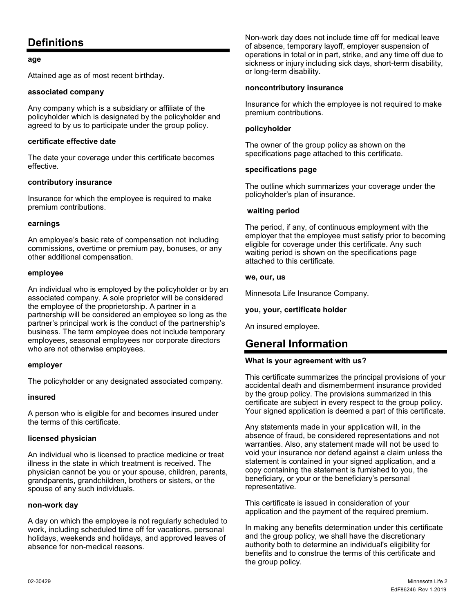## <span id="page-3-0"></span>**Definitions**

### **age**

Attained age as of most recent birthday.

### **associated company**

Any company which is a subsidiary or affiliate of the policyholder which is designated by the policyholder and agreed to by us to participate under the group policy.

## **certificate effective date**

The date your coverage under this certificate becomes effective.

## **contributory insurance**

Insurance for which the employee is required to make premium contributions.

## **earnings**

An employee's basic rate of compensation not including commissions, overtime or premium pay, bonuses, or any other additional compensation.

## **employee**

An individual who is employed by the policyholder or by an associated company. A sole proprietor will be considered the employee of the proprietorship. A partner in a partnership will be considered an employee so long as the partner's principal work is the conduct of the partnership's business. The term employee does not include temporary employees, seasonal employees nor corporate directors who are not otherwise employees.

#### **employer**

The policyholder or any designated associated company.

#### **insured**

A person who is eligible for and becomes insured under the terms of this certificate.

## **licensed physician**

An individual who is licensed to practice medicine or treat illness in the state in which treatment is received. The physician cannot be you or your spouse, children, parents, grandparents, grandchildren, brothers or sisters, or the spouse of any such individuals.

#### **non-work day**

A day on which the employee is not regularly scheduled to work, including scheduled time off for vacations, personal holidays, weekends and holidays, and approved leaves of absence for non-medical reasons.

Non-work day does not include time off for medical leave of absence, temporary layoff, employer suspension of operations in total or in part, strike, and any time off due to sickness or injury including sick days, short-term disability, or long-term disability.

### **noncontributory insurance**

Insurance for which the employee is not required to make premium contributions.

### **policyholder**

The owner of the group policy as shown on the specifications page attached to this certificate.

## **specifications page**

The outline which summarizes your coverage under the policyholder's plan of insurance.

## **waiting period**

The period, if any, of continuous employment with the employer that the employee must satisfy prior to becoming eligible for coverage under this certificate. Any such waiting period is shown on the specifications page attached to this certificate.

## **we, our, us**

Minnesota Life Insurance Company.

## **you, your, certificate holder**

<span id="page-3-1"></span>An insured employee.

## **General Information**

#### **What is your agreement with us?**

This certificate summarizes the principal provisions of your accidental death and dismemberment insurance provided by the group policy. The provisions summarized in this certificate are subject in every respect to the group policy. Your signed application is deemed a part of this certificate.

Any statements made in your application will, in the absence of fraud, be considered representations and not warranties. Also, any statement made will not be used to void your insurance nor defend against a claim unless the statement is contained in your signed application, and a copy containing the statement is furnished to you, the beneficiary, or your or the beneficiary's personal representative.

This certificate is issued in consideration of your application and the payment of the required premium.

In making any benefits determination under this certificate and the group policy, we shall have the discretionary authority both to determine an individual's eligibility for benefits and to construe the terms of this certificate and the group policy.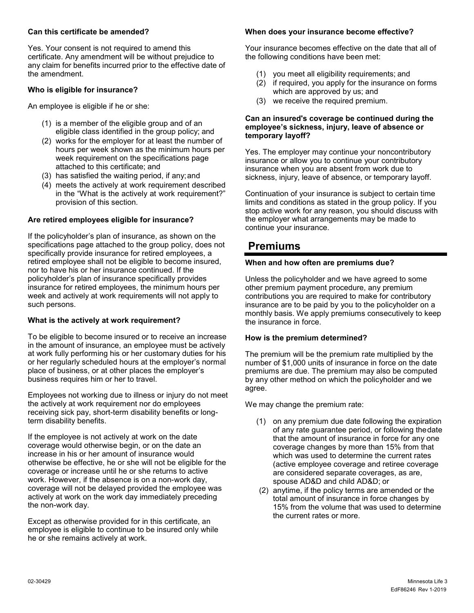### **Can this certificate be amended?**

Yes. Your consent is not required to amend this certificate. Any amendment will be without prejudice to any claim for benefits incurred prior to the effective date of the amendment.

## **Who is eligible for insurance?**

An employee is eligible if he or she:

- (1) is a member of the eligible group and of an eligible class identified in the group policy; and
- (2) works for the employer for at least the number of hours per week shown as the minimum hours per week requirement on the specifications page attached to this certificate; and
- (3) has satisfied the waiting period, if any;and
- (4) meets the actively at work requirement described in the "What is the actively at work requirement?" provision of this section.

## **Are retired employees eligible for insurance?**

If the policyholder's plan of insurance, as shown on the specifications page attached to the group policy, does not specifically provide insurance for retired employees, a retired employee shall not be eligible to become insured, nor to have his or her insurance continued. If the policyholder's plan of insurance specifically provides insurance for retired employees, the minimum hours per week and actively at work requirements will not apply to such persons.

## **What is the actively at work requirement?**

To be eligible to become insured or to receive an increase in the amount of insurance, an employee must be actively at work fully performing his or her customary duties for his or her regularly scheduled hours at the employer's normal place of business, or at other places the employer's business requires him or her to travel.

Employees not working due to illness or injury do not meet the actively at work requirement nor do employees receiving sick pay, short-term disability benefits or longterm disability benefits.

If the employee is not actively at work on the date coverage would otherwise begin, or on the date an increase in his or her amount of insurance would otherwise be effective, he or she will not be eligible for the coverage or increase until he or she returns to active work. However, if the absence is on a non-work day, coverage will not be delayed provided the employee was actively at work on the work day immediately preceding the non-work day.

Except as otherwise provided for in this certificate, an employee is eligible to continue to be insured only while he or she remains actively at work.

### **When does your insurance become effective?**

Your insurance becomes effective on the date that all of the following conditions have been met:

- (1) you meet all eligibility requirements; and
- (2) if required, you apply for the insurance on forms which are approved by us; and
- (3) we receive the required premium.

#### **Can an insured's coverage be continued during the employee's sickness, injury, leave of absence or temporary layoff?**

Yes. The employer may continue your noncontributory insurance or allow you to continue your contributory insurance when you are absent from work due to sickness, injury, leave of absence, or temporary layoff.

Continuation of your insurance is subject to certain time limits and conditions as stated in the group policy. If you stop active work for any reason, you should discuss with the employer what arrangements may be made to continue your insurance.

## <span id="page-4-0"></span>**Premiums**

## **When and how often are premiums due?**

Unless the policyholder and we have agreed to some other premium payment procedure, any premium contributions you are required to make for contributory insurance are to be paid by you to the policyholder on a monthly basis. We apply premiums consecutively to keep the insurance in force.

#### **How is the premium determined?**

The premium will be the premium rate multiplied by the number of \$1,000 units of insurance in force on the date premiums are due. The premium may also be computed by any other method on which the policyholder and we agree.

We may change the premium rate:

- (1) on any premium due date following the expiration of any rate guarantee period, or following thedate that the amount of insurance in force for any one coverage changes by more than 15% from that which was used to determine the current rates (active employee coverage and retiree coverage are considered separate coverages, as are, spouse AD&D and child AD&D; or
- (2) anytime, if the policy terms are amended or the total amount of insurance in force changes by 15% from the volume that was used to determine the current rates or more.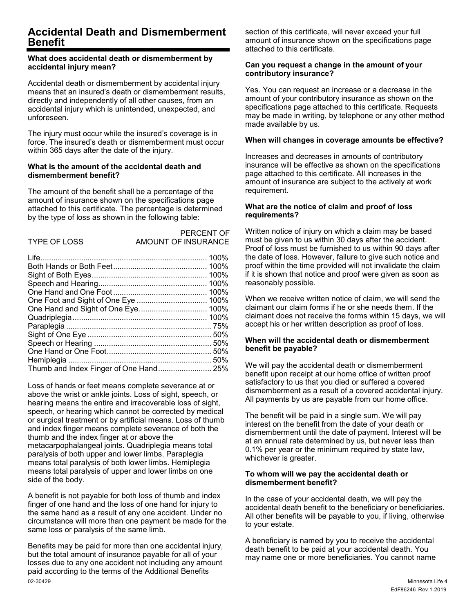## <span id="page-5-0"></span>**Accidental Death and Dismemberment Benefit**

#### **What does accidental death or dismemberment by accidental injury mean?**

Accidental death or dismemberment by accidental injury means that an insured's death or dismemberment results, directly and independently of all other causes, from an accidental injury which is unintended, unexpected, and unforeseen.

The injury must occur while the insured's coverage is in force. The insured's death or dismemberment must occur within 365 days after the date of the injury.

#### **What is the amount of the accidental death and dismemberment benefit?**

The amount of the benefit shall be a percentage of the amount of insurance shown on the specifications page attached to this certificate. The percentage is determined by the type of loss as shown in the following table:

| <b>TYPE OF LOSS</b> | <b>AMOUNT (</b> |
|---------------------|-----------------|

PERCENT OF OF INSURANCE

Loss of hands or feet means complete severance at or above the wrist or ankle joints. Loss of sight, speech, or hearing means the entire and irrecoverable loss of sight, speech, or hearing which cannot be corrected by medical or surgical treatment or by artificial means. Loss of thumb and index finger means complete severance of both the thumb and the index finger at or above the metacarpophalangeal joints. Quadriplegia means total paralysis of both upper and lower limbs. Paraplegia means total paralysis of both lower limbs. Hemiplegia means total paralysis of upper and lower limbs on one side of the body.

A benefit is not payable for both loss of thumb and index finger of one hand and the loss of one hand for injury to the same hand as a result of any one accident. Under no circumstance will more than one payment be made for the same loss or paralysis of the same limb.

02-30429 Minnesota Life 4 Benefits may be paid for more than one accidental injury, but the total amount of insurance payable for all of your losses due to any one accident not including any amount paid according to the terms of the Additional Benefits

section of this certificate, will never exceed your full amount of insurance shown on the specifications page attached to this certificate.

#### **Can you request a change in the amount of your contributory insurance?**

Yes. You can request an increase or a decrease in the amount of your contributory insurance as shown on the specifications page attached to this certificate. Requests may be made in writing, by telephone or any other method made available by us.

## **When will changes in coverage amounts be effective?**

Increases and decreases in amounts of contributory insurance will be effective as shown on the specifications page attached to this certificate. All increases in the amount of insurance are subject to the actively at work requirement.

### **What are the notice of claim and proof of loss requirements?**

Written notice of injury on which a claim may be based must be given to us within 30 days after the accident. Proof of loss must be furnished to us within 90 days after the date of loss. However, failure to give such notice and proof within the time provided will not invalidate the claim if it is shown that notice and proof were given as soon as reasonably possible.

When we receive written notice of claim, we will send the claimant our claim forms if he or she needs them. If the claimant does not receive the forms within 15 days, we will accept his or her written description as proof of loss.

#### **When will the accidental death or dismemberment benefit be payable?**

We will pay the accidental death or dismemberment benefit upon receipt at our home office of written proof satisfactory to us that you died or suffered a covered dismemberment as a result of a covered accidental injury. All payments by us are payable from our home office.

The benefit will be paid in a single sum. We will pay interest on the benefit from the date of your death or dismemberment until the date of payment. Interest will be at an annual rate determined by us, but never less than 0.1% per year or the minimum required by state law, whichever is greater.

#### **To whom will we pay the accidental death or dismemberment benefit?**

In the case of your accidental death, we will pay the accidental death benefit to the beneficiary or beneficiaries. All other benefits will be payable to you, if living, otherwise to your estate.

A beneficiary is named by you to receive the accidental death benefit to be paid at your accidental death. You may name one or more beneficiaries. You cannot name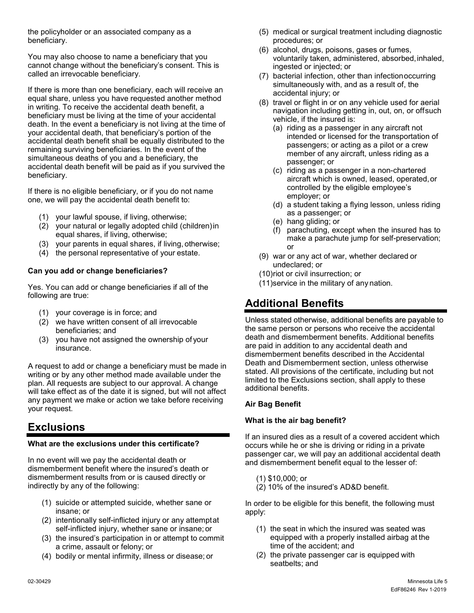the policyholder or an associated company as a beneficiary.

You may also choose to name a beneficiary that you cannot change without the beneficiary's consent. This is called an irrevocable beneficiary.

If there is more than one beneficiary, each will receive an equal share, unless you have requested another method in writing. To receive the accidental death benefit, a beneficiary must be living at the time of your accidental death. In the event a beneficiary is not living at the time of your accidental death, that beneficiary's portion of the accidental death benefit shall be equally distributed to the remaining surviving beneficiaries. In the event of the simultaneous deaths of you and a beneficiary, the accidental death benefit will be paid as if you survived the beneficiary.

If there is no eligible beneficiary, or if you do not name one, we will pay the accidental death benefit to:

- (1) your lawful spouse, if living, otherwise;
- (2) your natural or legally adopted child (children)in equal shares, if living, otherwise;
- (3) your parents in equal shares, if living, otherwise;
- (4) the personal representative of your estate.

## **Can you add or change beneficiaries?**

Yes. You can add or change beneficiaries if all of the following are true:

- (1) your coverage is in force; and
- (2) we have written consent of all irrevocable beneficiaries; and
- (3) you have not assigned the ownership of your insurance.

A request to add or change a beneficiary must be made in writing or by any other method made available under the plan. All requests are subject to our approval. A change will take effect as of the date it is signed, but will not affect any payment we make or action we take before receiving your request.

## <span id="page-6-0"></span>**Exclusions**

## **What are the exclusions under this certificate?**

In no event will we pay the accidental death or dismemberment benefit where the insured's death or dismemberment results from or is caused directly or indirectly by any of the following:

- (1) suicide or attempted suicide, whether sane or insane; or
- (2) intentionally self-inflicted injury or any attemptat self-inflicted injury, whether sane or insane; or
- (3) the insured's participation in or attempt to commit a crime, assault or felony; or
- (4) bodily or mental infirmity, illness or disease; or
- (5) medical or surgical treatment including diagnostic procedures; or
- (6) alcohol, drugs, poisons, gases or fumes, voluntarily taken, administered, absorbed,inhaled, ingested or injected; or
- (7) bacterial infection, other than infectionoccurring simultaneously with, and as a result of, the accidental injury; or
- (8) travel or flight in or on any vehicle used for aerial navigation including getting in, out, on, or offsuch vehicle, if the insured is:
	- (a) riding as a passenger in any aircraft not intended or licensed for the transportation of passengers; or acting as a pilot or a crew member of any aircraft, unless riding as a passenger; or
	- (c) riding as a passenger in a non-chartered aircraft which is owned, leased, operated,or controlled by the eligible employee's employer; or
	- (d) a student taking a flying lesson, unless riding as a passenger; or
	- (e) hang gliding; or
	- (f) parachuting, except when the insured has to make a parachute jump for self-preservation; or
- (9) war or any act of war, whether declared or undeclared; or
- (10)riot or civil insurrection; or
- (11)service in the military of any nation.

## <span id="page-6-1"></span>**Additional Benefits**

Unless stated otherwise, additional benefits are payable to the same person or persons who receive the accidental death and dismemberment benefits. Additional benefits are paid in addition to any accidental death and dismemberment benefits described in the Accidental Death and Dismemberment section, unless otherwise stated. All provisions of the certificate, including but not limited to the Exclusions section, shall apply to these additional benefits.

## **Air Bag Benefit**

## **What is the air bag benefit?**

If an insured dies as a result of a covered accident which occurs while he or she is driving or riding in a private passenger car, we will pay an additional accidental death and dismemberment benefit equal to the lesser of:

- (1) \$10,000; or
- (2) 10% of the insured's AD&D benefit.

In order to be eligible for this benefit, the following must apply:

- (1) the seat in which the insured was seated was equipped with a properly installed airbag at the time of the accident; and
- (2) the private passenger car is equipped with seatbelts; and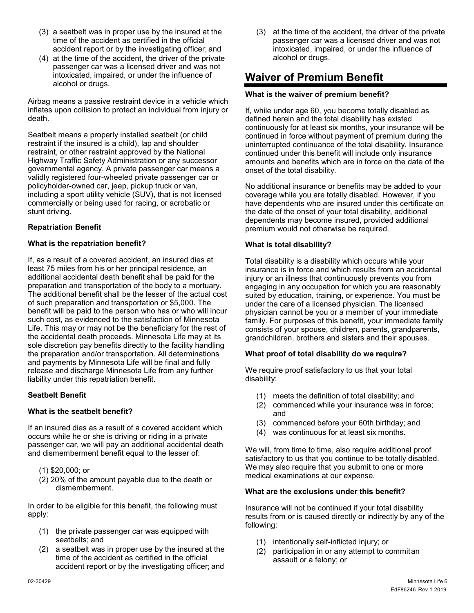- (3) a seatbelt was in proper use by the insured at the time of the accident as certified in the official accident report or by the investigating officer; and
- (4) at the time of the accident, the driver of the private passenger car was a licensed driver and was not intoxicated, impaired, or under the influence of alcohol or drugs.

Airbag means a passive restraint device in a vehicle which inflates upon collision to protect an individual from injury or death.

Seatbelt means a properly installed seatbelt (or child restraint if the insured is a child), lap and shoulder restraint, or other restraint approved by the National Highway Traffic Safety Administration or any successor governmental agency. A private passenger car means a validly registered four-wheeled private passenger car or policyholder-owned car, jeep, pickup truck or van, including a sport utility vehicle (SUV), that is not licensed commercially or being used for racing, or acrobatic or stunt driving.

## **Repatriation Benefit**

## **What is the repatriation benefit?**

If, as a result of a covered accident, an insured dies at least 75 miles from his or her principal residence, an additional accidental death benefit shall be paid for the preparation and transportation of the body to a mortuary. The additional benefit shall be the lesser of the actual cost of such preparation and transportation or \$5,000. The benefit will be paid to the person who has or who will incur such cost, as evidenced to the satisfaction of Minnesota Life. This may or may not be the beneficiary for the rest of the accidental death proceeds. Minnesota Life may at its sole discretion pay benefits directly to the facility handling the preparation and/or transportation. All determinations and payments by Minnesota Life will be final and fully release and discharge Minnesota Life from any further liability under this repatriation benefit.

## **Seatbelt Benefit**

## **What is the seatbelt benefit?**

If an insured dies as a result of a covered accident which occurs while he or she is driving or riding in a private passenger car, we will pay an additional accidental death and dismemberment benefit equal to the lesser of:

- (1) \$20,000; or
- (2) 20% of the amount payable due to the death or dismemberment.

In order to be eligible for this benefit, the following must apply:

- (1) the private passenger car was equipped with seatbelts; and
- (2) a seatbelt was in proper use by the insured at the time of the accident as certified in the official accident report or by the investigating officer; and

(3) at the time of the accident, the driver of the private passenger car was a licensed driver and was not intoxicated, impaired, or under the influence of alcohol or drugs.

## <span id="page-7-0"></span>**Waiver of Premium Benefit**

### **What is the waiver of premium benefit?**

If, while under age 60, you become totally disabled as defined herein and the total disability has existed continuously for at least six months, your insurance will be continued in force without payment of premium during the uninterrupted continuance of the total disability. Insurance continued under this benefit will include only insurance amounts and benefits which are in force on the date of the onset of the total disability.

No additional insurance or benefits may be added to your coverage while you are totally disabled. However, if you have dependents who are insured under this certificate on the date of the onset of your total disability, additional dependents may become insured, provided additional premium would not otherwise be required.

## **What is total disability?**

Total disability is a disability which occurs while your insurance is in force and which results from an accidental injury or an illness that continuously prevents you from engaging in any occupation for which you are reasonably suited by education, training, or experience. You must be under the care of a licensed physician. The licensed physician cannot be you or a member of your immediate family. For purposes of this benefit, your immediate family consists of your spouse, children, parents, grandparents, grandchildren, brothers and sisters and their spouses.

## **What proof of total disability do we require?**

We require proof satisfactory to us that your total disability:

- (1) meets the definition of total disability; and
- (2) commenced while your insurance was in force; and
- (3) commenced before your 60th birthday; and
- (4) was continuous for at least six months.

We will, from time to time, also require additional proof satisfactory to us that you continue to be totally disabled. We may also require that you submit to one or more medical examinations at our expense.

#### **What are the exclusions under this benefit?**

Insurance will not be continued if your total disability results from or is caused directly or indirectly by any of the following:

- (1) intentionally self-inflicted injury; or
- (2) participation in or any attempt to commitan assault or a felony; or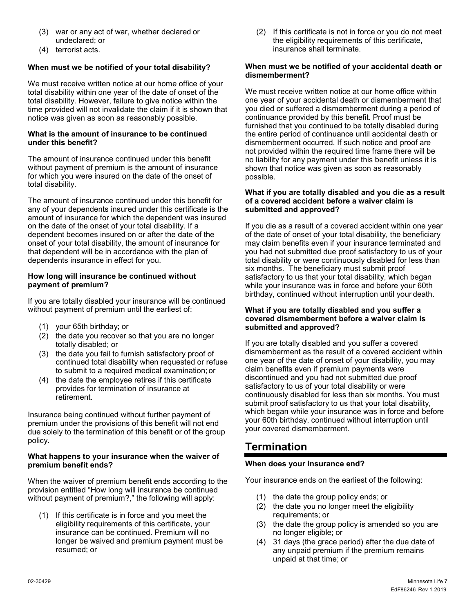- (3) war or any act of war, whether declared or undeclared; or
- (4) terrorist acts.

## **When must we be notified of your total disability?**

We must receive written notice at our home office of your total disability within one year of the date of onset of the total disability. However, failure to give notice within the time provided will not invalidate the claim if it is shown that notice was given as soon as reasonably possible.

### **What is the amount of insurance to be continued under this benefit?**

The amount of insurance continued under this benefit without payment of premium is the amount of insurance for which you were insured on the date of the onset of total disability.

The amount of insurance continued under this benefit for any of your dependents insured under this certificate is the amount of insurance for which the dependent was insured on the date of the onset of your total disability. If a dependent becomes insured on or after the date of the onset of your total disability, the amount of insurance for that dependent will be in accordance with the plan of dependents insurance in effect for you.

### **How long will insurance be continued without payment of premium?**

If you are totally disabled your insurance will be continued without payment of premium until the earliest of:

- (1) your 65th birthday; or
- (2) the date you recover so that you are no longer totally disabled; or
- (3) the date you fail to furnish satisfactory proof of continued total disability when requested or refuse to submit to a required medical examination; or
- (4) the date the employee retires if this certificate provides for termination of insurance at retirement.

Insurance being continued without further payment of premium under the provisions of this benefit will not end due solely to the termination of this benefit or of the group policy.

#### **What happens to your insurance when the waiver of premium benefit ends?**

When the waiver of premium benefit ends according to the provision entitled "How long will insurance be continued without payment of premium?," the following will apply:

(1) If this certificate is in force and you meet the eligibility requirements of this certificate, your insurance can be continued. Premium will no longer be waived and premium payment must be resumed; or

(2) If this certificate is not in force or you do not meet the eligibility requirements of this certificate, insurance shall terminate.

#### **When must we be notified of your accidental death or dismemberment?**

We must receive written notice at our home office within one year of your accidental death or dismemberment that you died or suffered a dismemberment during a period of continuance provided by this benefit. Proof must be furnished that you continued to be totally disabled during the entire period of continuance until accidental death or dismemberment occurred. If such notice and proof are not provided within the required time frame there will be no liability for any payment under this benefit unless it is shown that notice was given as soon as reasonably possible.

#### **What if you are totally disabled and you die as a result of a covered accident before a waiver claim is submitted and approved?**

If you die as a result of a covered accident within one year of the date of onset of your total disability, the beneficiary may claim benefits even if your insurance terminated and you had not submitted due proof satisfactory to us of your total disability or were continuously disabled for less than six months. The beneficiary must submit proof satisfactory to us that your total disability, which began while your insurance was in force and before your 60th birthday, continued without interruption until your death.

#### **What if you are totally disabled and you suffer a covered dismemberment before a waiver claim is submitted and approved?**

If you are totally disabled and you suffer a covered dismemberment as the result of a covered accident within one year of the date of onset of your disability, you may claim benefits even if premium payments were discontinued and you had not submitted due proof satisfactory to us of your total disability or were continuously disabled for less than six months. You must submit proof satisfactory to us that your total disability, which began while your insurance was in force and before your 60th birthday, continued without interruption until your covered dismemberment.

## <span id="page-8-0"></span>**Termination**

## **When does your insurance end?**

Your insurance ends on the earliest of the following:

- (1) the date the group policy ends; or
- (2) the date you no longer meet the eligibility requirements; or
- (3) the date the group policy is amended so you are no longer eligible; or
- (4) 31 days (the grace period) after the due date of any unpaid premium if the premium remains unpaid at that time; or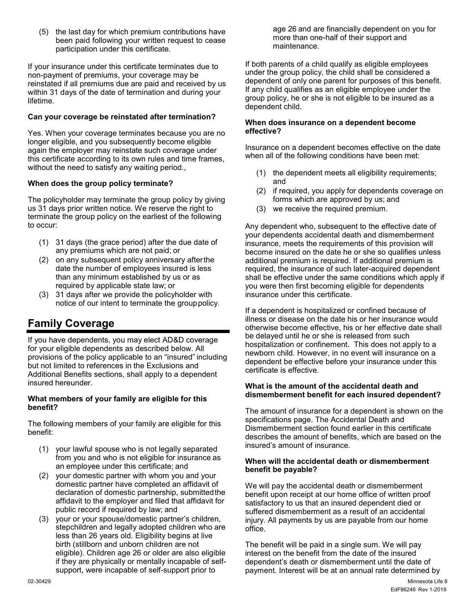(5) the last day for which premium contributions have been paid following your written request to cease participation under this certificate.

If your insurance under this certificate terminates due to non-payment of premiums, your coverage may be reinstated if all premiums due are paid and received by us within 31 days of the date of termination and during your lifetime.

## **Can your coverage be reinstated after termination?**

Yes. When your coverage terminates because you are no longer eligible, and you subsequently become eligible again the employer may reinstate such coverage under this certificate according to its own rules and time frames, without the need to satisfy any waiting period..

## **When does the group policy terminate?**

The policyholder may terminate the group policy by giving us 31 days prior written notice. We reserve the right to terminate the group policy on the earliest of the following to occur:

- (1) 31 days (the grace period) after the due date of any premiums which are not paid; or
- (2) on any subsequent policy anniversary afterthe date the number of employees insured is less than any minimum established by us or as required by applicable state law; or
- (3) 31 days after we provide the policyholder with notice of our intent to terminate the grouppolicy.

## <span id="page-9-0"></span>**Family Coverage**

If you have dependents, you may elect AD&D coverage for your eligible dependents as described below. All provisions of the policy applicable to an "insured" including but not limited to references in the Exclusions and Additional Benefits sections, shall apply to a dependent insured hereunder.

#### **What members of your family are eligible for this benefit?**

The following members of your family are eligible for this benefit:

- (1) your lawful spouse who is not legally separated from you and who is not eligible for insurance as an employee under this certificate; and
- (2) your domestic partner with whom you and your domestic partner have completed an affidavit of declaration of domestic partnership, submittedthe affidavit to the employer and filed that affidavit for public record if required by law; and
- (3) your or your spouse/domestic partner's children, stepchildren and legally adopted children who are less than 26 years old. Eligibility begins at live birth (stillborn and unborn children are not eligible). Children age 26 or older are also eligible if they are physically or mentally incapable of selfsupport, were incapable of self-support prior to

age 26 and are financially dependent on you for more than one-half of their support and maintenance.

If both parents of a child qualify as eligible employees under the group policy, the child shall be considered a dependent of only one parent for purposes of this benefit. If any child qualifies as an eligible employee under the group policy, he or she is not eligible to be insured as a dependent child.

#### **When does insurance on a dependent become effective?**

Insurance on a dependent becomes effective on the date when all of the following conditions have been met:

- (1) the dependent meets all eligibility requirements; and
- (2) if required, you apply for dependents coverage on forms which are approved by us; and
- (3) we receive the required premium.

Any dependent who, subsequent to the effective date of your dependents accidental death and dismemberment insurance, meets the requirements of this provision will become insured on the date he or she so qualifies unless additional premium is required. If additional premium is required, the insurance of such later-acquired dependent shall be effective under the same conditions which apply if you were then first becoming eligible for dependents insurance under this certificate.

If a dependent is hospitalized or confined because of illness or disease on the date his or her insurance would otherwise become effective, his or her effective date shall be delayed until he or she is released from such hospitalization or confinement. This does not apply to a newborn child. However, in no event will insurance on a dependent be effective before your insurance under this certificate is effective.

#### **What is the amount of the accidental death and dismemberment benefit for each insured dependent?**

The amount of insurance for a dependent is shown on the specifications page. The Accidental Death and Dismemberment section found earlier in this certificate describes the amount of benefits, which are based on the insured's amount of insurance.

#### **When will the accidental death or dismemberment benefit be payable?**

We will pay the accidental death or dismemberment benefit upon receipt at our home office of written proof satisfactory to us that an insured dependent died or suffered dismemberment as a result of an accidental injury. All payments by us are payable from our home office.

The benefit will be paid in a single sum. We will pay interest on the benefit from the date of the insured dependent's death or dismemberment until the date of payment. Interest will be at an annual rate determined by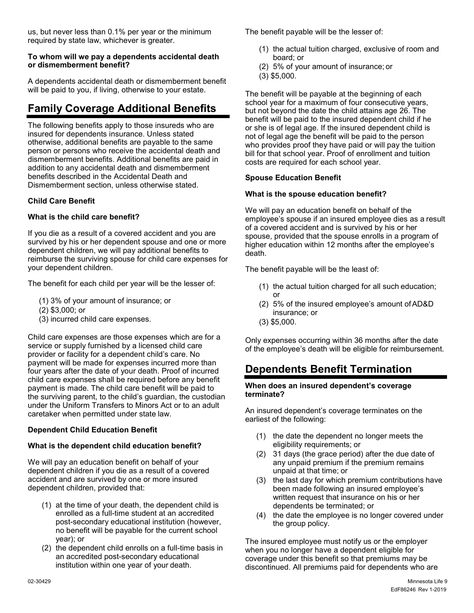us, but never less than 0.1% per year or the minimum required by state law, whichever is greater.

## **To whom will we pay a dependents accidental death or dismemberment benefit?**

A dependents accidental death or dismemberment benefit will be paid to you, if living, otherwise to your estate.

# **Family Coverage Additional Benefits**

The following benefits apply to those insureds who are insured for dependents insurance. Unless stated otherwise, additional benefits are payable to the same person or persons who receive the accidental death and dismemberment benefits. Additional benefits are paid in addition to any accidental death and dismemberment benefits described in the Accidental Death and Dismemberment section, unless otherwise stated.

## **Child Care Benefit**

## **What is the child care benefit?**

If you die as a result of a covered accident and you are survived by his or her dependent spouse and one or more dependent children, we will pay additional benefits to reimburse the surviving spouse for child care expenses for your dependent children.

The benefit for each child per year will be the lesser of:

- (1) 3% of your amount of insurance; or
- (2) \$3,000; or
- (3) incurred child care expenses.

Child care expenses are those expenses which are for a service or supply furnished by a licensed child care provider or facility for a dependent child's care. No payment will be made for expenses incurred more than four years after the date of your death. Proof of incurred child care expenses shall be required before any benefit payment is made. The child care benefit will be paid to the surviving parent, to the child's guardian, the custodian under the Uniform Transfers to Minors Act or to an adult caretaker when permitted under state law.

## **Dependent Child Education Benefit**

## **What is the dependent child education benefit?**

We will pay an education benefit on behalf of your dependent children if you die as a result of a covered accident and are survived by one or more insured dependent children, provided that:

- (1) at the time of your death, the dependent child is enrolled as a full-time student at an accredited post-secondary educational institution (however, no benefit will be payable for the current school year); or
- (2) the dependent child enrolls on a full-time basis in an accredited post-secondary educational institution within one year of your death.

The benefit payable will be the lesser of:

- (1) the actual tuition charged, exclusive of room and board; or
- (2) 5% of your amount of insurance; or
- (3) \$5,000.

The benefit will be payable at the beginning of each school year for a maximum of four consecutive years, but not beyond the date the child attains age 26. The benefit will be paid to the insured dependent child if he or she is of legal age. If the insured dependent child is not of legal age the benefit will be paid to the person who provides proof they have paid or will pay the tuition bill for that school year. Proof of enrollment and tuition costs are required for each school year.

## **Spouse Education Benefit**

## **What is the spouse education benefit?**

We will pay an education benefit on behalf of the employee's spouse if an insured employee dies as a result of a covered accident and is survived by his or her spouse, provided that the spouse enrolls in a program of higher education within 12 months after the employee's death.

The benefit payable will be the least of:

- (1) the actual tuition charged for all such education; or
- (2) 5% of the insured employee's amount ofAD&D insurance; or
- (3) \$5,000.

Only expenses occurring within 36 months after the date of the employee's death will be eligible for reimbursement.

## **Dependents Benefit Termination**

#### **When does an insured dependent's coverage terminate?**

An insured dependent's coverage terminates on the earliest of the following:

- (1) the date the dependent no longer meets the eligibility requirements; or
- (2) 31 days (the grace period) after the due date of any unpaid premium if the premium remains unpaid at that time; or
- (3) the last day for which premium contributions have been made following an insured employee's written request that insurance on his or her dependents be terminated; or
- (4) the date the employee is no longer covered under the group policy.

The insured employee must notify us or the employer when you no longer have a dependent eligible for coverage under this benefit so that premiums may be discontinued. All premiums paid for dependents who are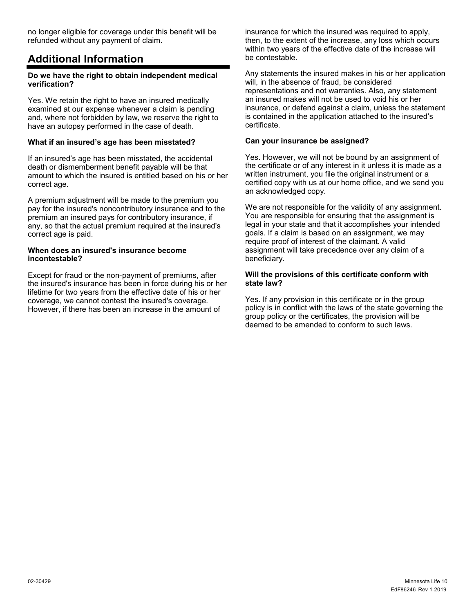no longer eligible for coverage under this benefit will be refunded without any payment of claim.

## <span id="page-11-0"></span>**Additional Information**

#### **Do we have the right to obtain independent medical verification?**

Yes. We retain the right to have an insured medically examined at our expense whenever a claim is pending and, where not forbidden by law, we reserve the right to have an autopsy performed in the case of death.

### **What if an insured's age has been misstated?**

If an insured's age has been misstated, the accidental death or dismemberment benefit payable will be that amount to which the insured is entitled based on his or her correct age.

A premium adjustment will be made to the premium you pay for the insured's noncontributory insurance and to the premium an insured pays for contributory insurance, if any, so that the actual premium required at the insured's correct age is paid.

#### **When does an insured's insurance become incontestable?**

Except for fraud or the non-payment of premiums, after the insured's insurance has been in force during his or her lifetime for two years from the effective date of his or her coverage, we cannot contest the insured's coverage. However, if there has been an increase in the amount of

insurance for which the insured was required to apply, then, to the extent of the increase, any loss which occurs within two years of the effective date of the increase will be contestable.

Any statements the insured makes in his or her application will, in the absence of fraud, be considered representations and not warranties. Also, any statement an insured makes will not be used to void his or her insurance, or defend against a claim, unless the statement is contained in the application attached to the insured's certificate.

## **Can your insurance be assigned?**

Yes. However, we will not be bound by an assignment of the certificate or of any interest in it unless it is made as a written instrument, you file the original instrument or a certified copy with us at our home office, and we send you an acknowledged copy.

We are not responsible for the validity of any assignment. You are responsible for ensuring that the assignment is legal in your state and that it accomplishes your intended goals. If a claim is based on an assignment, we may require proof of interest of the claimant. A valid assignment will take precedence over any claim of a beneficiary.

### **Will the provisions of this certificate conform with state law?**

Yes. If any provision in this certificate or in the group policy is in conflict with the laws of the state governing the group policy or the certificates, the provision will be deemed to be amended to conform to such laws.